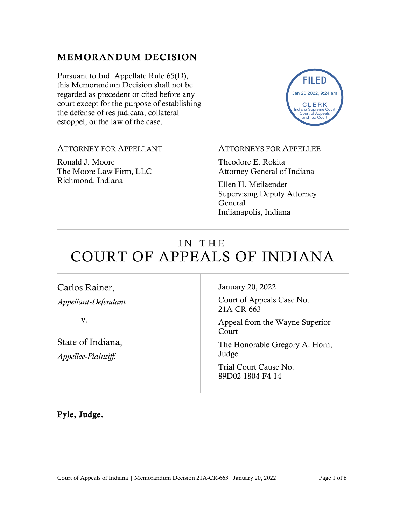# MEMORANDUM DECISION

Pursuant to Ind. Appellate Rule 65(D), this Memorandum Decision shall not be regarded as precedent or cited before any court except for the purpose of establishing the defense of res judicata, collateral estoppel, or the law of the case.



#### ATTORNEY FOR APPELLANT

Ronald J. Moore The Moore Law Firm, LLC Richmond, Indiana

#### ATTORNEYS FOR APPELLEE

Theodore E. Rokita Attorney General of Indiana

Ellen H. Meilaender Supervising Deputy Attorney General Indianapolis, Indiana

# IN THE COURT OF APPEALS OF INDIANA

Carlos Rainer, *Appellant-Defendant*

v.

State of Indiana, *Appellee-Plaintiff.*

January 20, 2022

Court of Appeals Case No. 21A-CR-663

Appeal from the Wayne Superior Court

The Honorable Gregory A. Horn, Judge

Trial Court Cause No. 89D02-1804-F4-14

Pyle, Judge.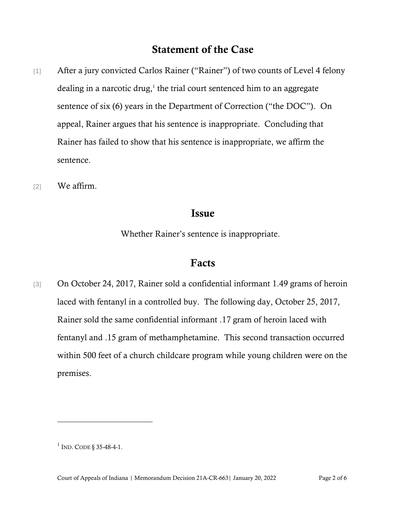# Statement of the Case

- [1] After a jury convicted Carlos Rainer ("Rainer") of two counts of Level 4 felony dealing in a narcotic drug, 1 the trial court sentenced him to an aggregate sentence of six (6) years in the Department of Correction ("the DOC"). On appeal, Rainer argues that his sentence is inappropriate. Concluding that Rainer has failed to show that his sentence is inappropriate, we affirm the sentence.
- [2] We affirm.

## Issue

Whether Rainer's sentence is inappropriate.

## Facts

[3] On October 24, 2017, Rainer sold a confidential informant 1.49 grams of heroin laced with fentanyl in a controlled buy. The following day, October 25, 2017, Rainer sold the same confidential informant .17 gram of heroin laced with fentanyl and .15 gram of methamphetamine. This second transaction occurred within 500 feet of a church childcare program while young children were on the premises.

 $1$  Ind. Code § 35-48-4-1.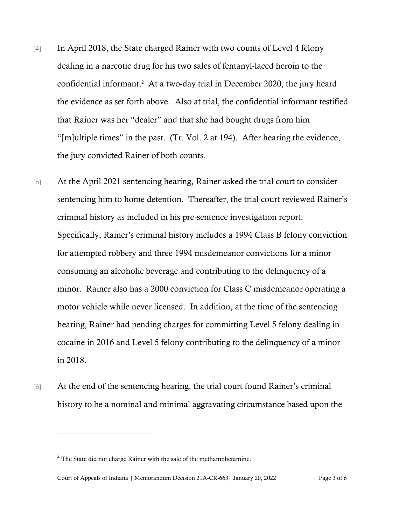- [4] In April 2018, the State charged Rainer with two counts of Level 4 felony dealing in a narcotic drug for his two sales of fentanyl-laced heroin to the confidential informant.<sup>2</sup> At a two-day trial in December 2020, the jury heard the evidence as set forth above. Also at trial, the confidential informant testified that Rainer was her "dealer" and that she had bought drugs from him "[m]ultiple times" in the past. (Tr. Vol. 2 at 194). After hearing the evidence, the jury convicted Rainer of both counts.
- [5] At the April 2021 sentencing hearing, Rainer asked the trial court to consider sentencing him to home detention. Thereafter, the trial court reviewed Rainer's criminal history as included in his pre-sentence investigation report. Specifically, Rainer's criminal history includes a 1994 Class B felony conviction for attempted robbery and three 1994 misdemeanor convictions for a minor consuming an alcoholic beverage and contributing to the delinquency of a minor. Rainer also has a 2000 conviction for Class C misdemeanor operating a motor vehicle while never licensed. In addition, at the time of the sentencing hearing, Rainer had pending charges for committing Level 5 felony dealing in cocaine in 2016 and Level 5 felony contributing to the delinquency of a minor in 2018.
- [6] At the end of the sentencing hearing, the trial court found Rainer's criminal history to be a nominal and minimal aggravating circumstance based upon the

 $2^2$  The State did not charge Rainer with the sale of the methamphetamine.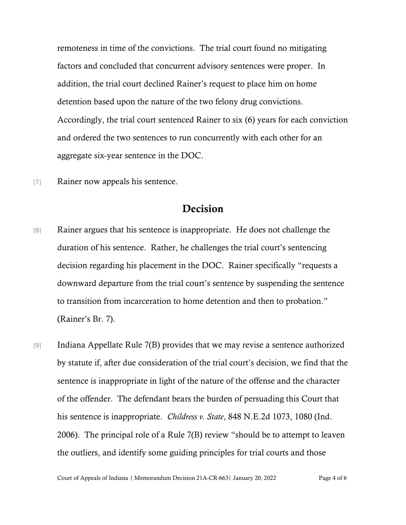remoteness in time of the convictions. The trial court found no mitigating factors and concluded that concurrent advisory sentences were proper. In addition, the trial court declined Rainer's request to place him on home detention based upon the nature of the two felony drug convictions. Accordingly, the trial court sentenced Rainer to six (6) years for each conviction and ordered the two sentences to run concurrently with each other for an aggregate six-year sentence in the DOC.

[7] Rainer now appeals his sentence.

## Decision

- [8] Rainer argues that his sentence is inappropriate. He does not challenge the duration of his sentence. Rather, he challenges the trial court's sentencing decision regarding his placement in the DOC. Rainer specifically "requests a downward departure from the trial court's sentence by suspending the sentence to transition from incarceration to home detention and then to probation." (Rainer's Br. 7).
- [9] Indiana Appellate Rule 7(B) provides that we may revise a sentence authorized by statute if, after due consideration of the trial court's decision, we find that the sentence is inappropriate in light of the nature of the offense and the character of the offender. The defendant bears the burden of persuading this Court that his sentence is inappropriate. *Childress v. State*, 848 N.E.2d 1073, 1080 (Ind. 2006). The principal role of a Rule 7(B) review "should be to attempt to leaven the outliers, and identify some guiding principles for trial courts and those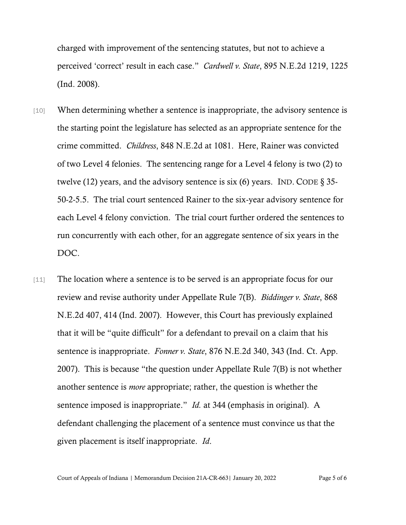charged with improvement of the sentencing statutes, but not to achieve a perceived 'correct' result in each case." *Cardwell v. State*, 895 N.E.2d 1219, 1225 (Ind. 2008).

- [10] When determining whether a sentence is inappropriate, the advisory sentence is the starting point the legislature has selected as an appropriate sentence for the crime committed. *Childress*, 848 N.E.2d at 1081. Here, Rainer was convicted of two Level 4 felonies. The sentencing range for a Level 4 felony is two (2) to twelve (12) years, and the advisory sentence is six (6) years. IND. CODE  $\S 35$ -50-2-5.5. The trial court sentenced Rainer to the six-year advisory sentence for each Level 4 felony conviction. The trial court further ordered the sentences to run concurrently with each other, for an aggregate sentence of six years in the DOC.
- [11] The location where a sentence is to be served is an appropriate focus for our review and revise authority under Appellate Rule 7(B). *Biddinger v. State*, 868 N.E.2d 407, 414 (Ind. 2007). However, this Court has previously explained that it will be "quite difficult" for a defendant to prevail on a claim that his sentence is inappropriate. *Fonner v. State*, 876 N.E.2d 340, 343 (Ind. Ct. App. 2007). This is because "the question under Appellate Rule 7(B) is not whether another sentence is *more* appropriate; rather, the question is whether the sentence imposed is inappropriate." *Id.* at 344 (emphasis in original). A defendant challenging the placement of a sentence must convince us that the given placement is itself inappropriate. *Id*.

Court of Appeals of Indiana | Memorandum Decision 21A-CR-663| January 20, 2022 Page 5 of 6